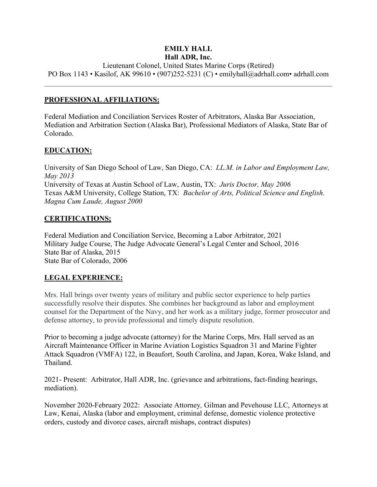#### **EMILY HALL Hall ADR, Inc.**

Lieutenant Colonel, United States Marine Corps (Retired) PO Box 1143 • Kasilof, AK 99610 • (907)252-5231 (C) • emilyhall@adrhall.com• adrhall.com

### **PROFESSIONAL AFFILIATIONS:**

Federal Mediation and Conciliation Services Roster of Arbitrators, Alaska Bar Association, Mediation and Arbitration Section (Alaska Bar), Professional Mediators of Alaska, State Bar of Colorado.

## **EDUCATION:**

University of San Diego School of Law, San Diego, CA: *LL.M. in Labor and Employment Law, May 2013* University of Texas at Austin School of Law, Austin, TX: *Juris Doctor, May 2006* Texas A&M University, College Station, TX: *Bachelor of Arts, Political Science and English. Magna Cum Laude, August 2000*

## **CERTIFICATIONS;**

Federal Mediation and Conciliation Service, Becoming a Labor Arbitrator, 2021 Military Judge Course, The Judge Advocate General's Legal Center and School, 2016 State Bar of Alaska, 2015 State Bar of Colorado, 2006

## **LEGAL EXPERIENCE:**

Mrs. Hall brings over twenty years of military and public sector experience to help parties successfully resolve their disputes. She combines her background as labor and employment counsel for the Department of the Navy, and her work as a military judge, former prosecutor and defense attorney, to provide professional and timely dispute resolution.

Prior to becoming a judge advocate (attorney) for the Marine Corps, Mrs. Hall served as an Aircraft Maintenance Officer in Marine Aviation Logistics Squadron 31 and Marine Fighter Attack Squadron (VMFA) 122, in Beaufort, South Carolina, and Japan, Korea, Wake Island, and Thailand.

2021- Present: Arbitrator, Hall ADR, Inc. (grievance and arbitrations, fact-finding hearings, mediation).

November 2020-February 2022: Associate Attorney*,* Gilman and Pevehouse LLC, Attorneys at Law, Kenai, Alaska (labor and employment, criminal defense, domestic violence protective orders, custody and divorce cases, aircraft mishaps, contract disputes)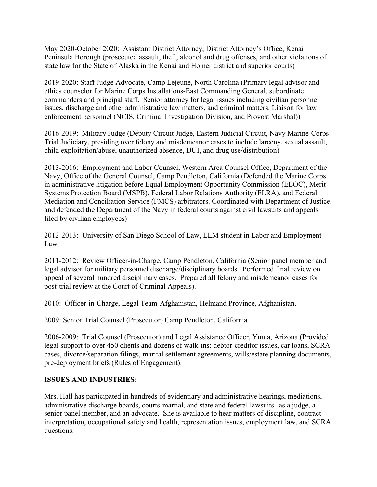May 2020-October 2020: Assistant District Attorney, District Attorney's Office, Kenai Peninsula Borough (prosecuted assault, theft, alcohol and drug offenses, and other violations of state law for the State of Alaska in the Kenai and Homer district and superior courts)

2019-2020: Staff Judge Advocate, Camp Lejeune, North Carolina (Primary legal advisor and ethics counselor for Marine Corps Installations-East Commanding General, subordinate commanders and principal staff. Senior attorney for legal issues including civilian personnel issues, discharge and other administrative law matters, and criminal matters. Liaison for law enforcement personnel (NCIS, Criminal Investigation Division, and Provost Marshal))

2016-2019: Military Judge (Deputy Circuit Judge, Eastern Judicial Circuit, Navy Marine-Corps Trial Judiciary, presiding over felony and misdemeanor cases to include larceny, sexual assault, child exploitation/abuse, unauthorized absence, DUI, and drug use/distribution)

2013-2016: Employment and Labor Counsel, Western Area Counsel Office, Department of the Navy, Office of the General Counsel, Camp Pendleton, California (Defended the Marine Corps in administrative litigation before Equal Employment Opportunity Commission (EEOC), Merit Systems Protection Board (MSPB), Federal Labor Relations Authority (FLRA), and Federal Mediation and Conciliation Service (FMCS) arbitrators. Coordinated with Department of Justice, and defended the Department of the Navy in federal courts against civil lawsuits and appeals filed by civilian employees)

2012-2013: University of San Diego School of Law, LLM student in Labor and Employment Law

2011-2012: Review Officer-in-Charge, Camp Pendleton, California (Senior panel member and legal advisor for military personnel discharge/disciplinary boards. Performed final review on appeal of several hundred disciplinary cases. Prepared all felony and misdemeanor cases for post-trial review at the Court of Criminal Appeals).

2010: Officer-in-Charge, Legal Team-Afghanistan, Helmand Province, Afghanistan.

2009: Senior Trial Counsel (Prosecutor) Camp Pendleton, California

2006-2009: Trial Counsel (Prosecutor) and Legal Assistance Officer, Yuma, Arizona (Provided legal support to over 450 clients and dozens of walk-ins: debtor-creditor issues, car loans, SCRA cases, divorce/separation filings, marital settlement agreements, wills/estate planning documents, pre-deployment briefs (Rules of Engagement).

#### **ISSUES AND INDUSTRIES:**

Mrs. Hall has participated in hundreds of evidentiary and administrative hearings, mediations, administrative discharge boards, courts-martial, and state and federal lawsuits--as a judge, a senior panel member, and an advocate. She is available to hear matters of discipline, contract interpretation, occupational safety and health, representation issues, employment law, and SCRA questions.